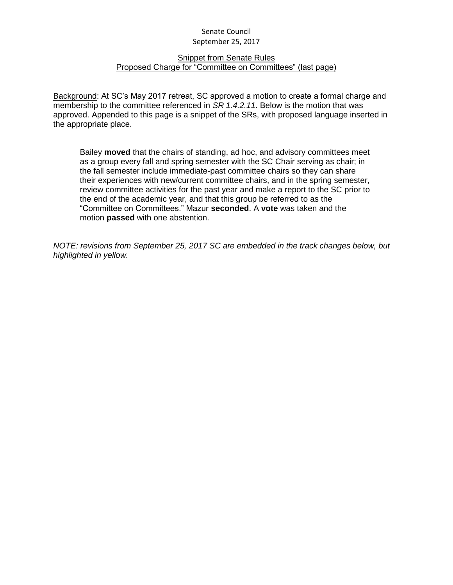#### Snippet from Senate Rules Proposed Charge for "Committee on Committees" (last page)

Background: At SC's May 2017 retreat, SC approved a motion to create a formal charge and membership to the committee referenced in *SR 1.4.2.11*. Below is the motion that was approved. Appended to this page is a snippet of the SRs, with proposed language inserted in the appropriate place.

Bailey **moved** that the chairs of standing, ad hoc, and advisory committees meet as a group every fall and spring semester with the SC Chair serving as chair; in the fall semester include immediate-past committee chairs so they can share their experiences with new/current committee chairs, and in the spring semester, review committee activities for the past year and make a report to the SC prior to the end of the academic year, and that this group be referred to as the "Committee on Committees." Mazur **seconded**. A **vote** was taken and the motion **passed** with one abstention.

*NOTE: revisions from September 25, 2017 SC are embedded in the track changes below, but highlighted in yellow.*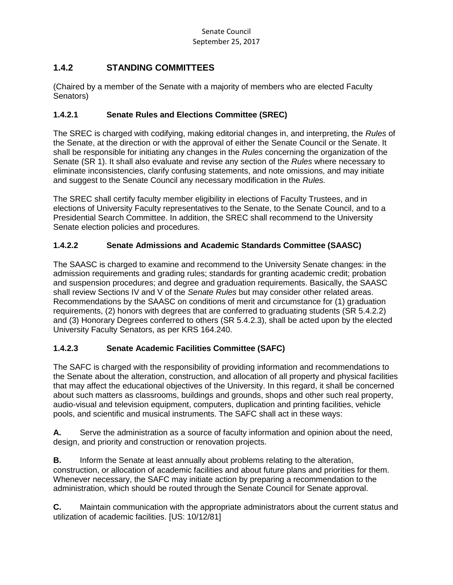# **1.4.2 STANDING COMMITTEES**

(Chaired by a member of the Senate with a majority of members who are elected Faculty Senators)

#### **1.4.2.1 Senate Rules and Elections Committee (SREC)**

The SREC is charged with codifying, making editorial changes in, and interpreting, the *Rules* of the Senate, at the direction or with the approval of either the Senate Council or the Senate. It shall be responsible for initiating any changes in the *Rules* concerning the organization of the Senate (SR 1). It shall also evaluate and revise any section of the *Rules* where necessary to eliminate inconsistencies, clarify confusing statements, and note omissions, and may initiate and suggest to the Senate Council any necessary modification in the *Rules.*

The SREC shall certify faculty member eligibility in elections of Faculty Trustees, and in elections of University Faculty representatives to the Senate, to the Senate Council, and to a Presidential Search Committee. In addition, the SREC shall recommend to the University Senate election policies and procedures.

### **1.4.2.2 Senate Admissions and Academic Standards Committee (SAASC)**

The SAASC is charged to examine and recommend to the University Senate changes: in the admission requirements and grading rules; standards for granting academic credit; probation and suspension procedures; and degree and graduation requirements. Basically, the SAASC shall review Sections IV and V of the *Senate Rules* but may consider other related areas. Recommendations by the SAASC on conditions of merit and circumstance for (1) graduation requirements, (2) honors with degrees that are conferred to graduating students (SR 5.4.2.2) and (3) Honorary Degrees conferred to others (SR 5.4.2.3), shall be acted upon by the elected University Faculty Senators, as per KRS 164.240.

#### **1.4.2.3 Senate Academic Facilities Committee (SAFC)**

The SAFC is charged with the responsibility of providing information and recommendations to the Senate about the alteration, construction, and allocation of all property and physical facilities that may affect the educational objectives of the University. In this regard, it shall be concerned about such matters as classrooms, buildings and grounds, shops and other such real property, audio-visual and television equipment, computers, duplication and printing facilities, vehicle pools, and scientific and musical instruments. The SAFC shall act in these ways:

**A.** Serve the administration as a source of faculty information and opinion about the need, design, and priority and construction or renovation projects.

**B.** Inform the Senate at least annually about problems relating to the alteration, construction, or allocation of academic facilities and about future plans and priorities for them. Whenever necessary, the SAFC may initiate action by preparing a recommendation to the administration, which should be routed through the Senate Council for Senate approval.

**C.** Maintain communication with the appropriate administrators about the current status and utilization of academic facilities. [US: 10/12/81]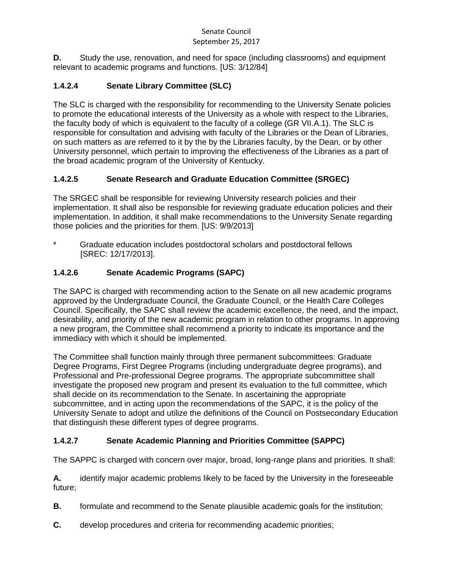**D.** Study the use, renovation, and need for space (including classrooms) and equipment relevant to academic programs and functions. [US: 3/12/84]

# **1.4.2.4 Senate Library Committee (SLC)**

The SLC is charged with the responsibility for recommending to the University Senate policies to promote the educational interests of the University as a whole with respect to the Libraries, the faculty body of which is equivalent to the faculty of a college (GR VII.A.1). The SLC is responsible for consultation and advising with faculty of the Libraries or the Dean of Libraries, on such matters as are referred to it by the by the Libraries faculty, by the Dean, or by other University personnel, which pertain to improving the effectiveness of the Libraries as a part of the broad academic program of the University of Kentucky.

# **1.4.2.5 Senate Research and Graduate Education Committee (SRGEC)**

The SRGEC shall be responsible for reviewing University research policies and their implementation. It shall also be responsible for reviewing graduate education policies and their implementation. In addition, it shall make recommendations to the University Senate regarding those policies and the priorities for them. [US: 9/9/2013]

Graduate education includes postdoctoral scholars and postdoctoral fellows [SREC: 12/17/2013].

# **1.4.2.6 Senate Academic Programs (SAPC)**

The SAPC is charged with recommending action to the Senate on all new academic programs approved by the Undergraduate Council, the Graduate Council, or the Health Care Colleges Council. Specifically, the SAPC shall review the academic excellence, the need, and the impact, desirability, and priority of the new academic program in relation to other programs. In approving a new program, the Committee shall recommend a priority to indicate its importance and the immediacy with which it should be implemented.

The Committee shall function mainly through three permanent subcommittees: Graduate Degree Programs, First Degree Programs (including undergraduate degree programs), and Professional and Pre-professional Degree programs. The appropriate subcommittee shall investigate the proposed new program and present its evaluation to the full committee, which shall decide on its recommendation to the Senate. In ascertaining the appropriate subcommittee, and in acting upon the recommendations of the SAPC, it is the policy of the University Senate to adopt and utilize the definitions of the Council on Postsecondary Education that distinguish these different types of degree programs.

# **1.4.2.7 Senate Academic Planning and Priorities Committee (SAPPC)**

The SAPPC is charged with concern over major, broad, long-range plans and priorities. It shall:

**A.** identify major academic problems likely to be faced by the University in the foreseeable future;

- **B.** formulate and recommend to the Senate plausible academic goals for the institution;
- **C.** develop procedures and criteria for recommending academic priorities;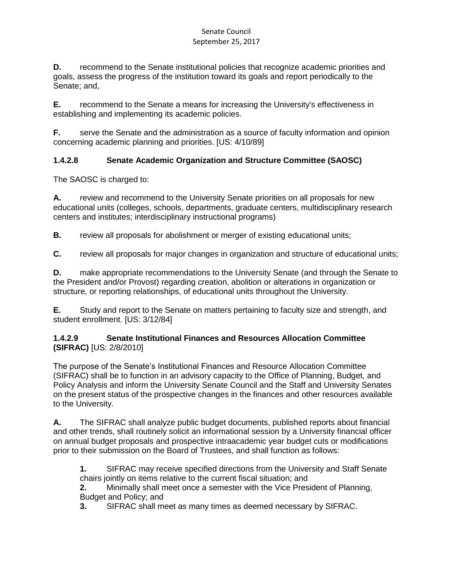**D.** recommend to the Senate institutional policies that recognize academic priorities and goals, assess the progress of the institution toward its goals and report periodically to the Senate; and,

**E.** recommend to the Senate a means for increasing the University's effectiveness in establishing and implementing its academic policies.

**F.** serve the Senate and the administration as a source of faculty information and opinion concerning academic planning and priorities. [US: 4/10/89]

### **1.4.2.8 Senate Academic Organization and Structure Committee (SAOSC)**

The SAOSC is charged to:

**A.** review and recommend to the University Senate priorities on all proposals for new educational units (colleges, schools, departments, graduate centers, multidisciplinary research centers and institutes; interdisciplinary instructional programs)

**B.** review all proposals for abolishment or merger of existing educational units;

**C.** review all proposals for major changes in organization and structure of educational units;

**D.** make appropriate recommendations to the University Senate (and through the Senate to the President and/or Provost) regarding creation, abolition or alterations in organization or structure, or reporting relationships, of educational units throughout the University.

**E.** Study and report to the Senate on matters pertaining to faculty size and strength, and student enrollment. [US: 3/12/84]

#### **1.4.2.9 Senate Institutional Finances and Resources Allocation Committee (SIFRAC)** [US: 2/8/2010]

The purpose of the Senate's Institutional Finances and Resource Allocation Committee (SIFRAC) shall be to function in an advisory capacity to the Office of Planning, Budget, and Policy Analysis and inform the University Senate Council and the Staff and University Senates on the present status of the prospective changes in the finances and other resources available to the University.

**A.** The SIFRAC shall analyze public budget documents, published reports about financial and other trends, shall routinely solicit an informational session by a University financial officer on annual budget proposals and prospective intraacademic year budget cuts or modifications prior to their submission on the Board of Trustees, and shall function as follows:

**1.** SIFRAC may receive specified directions from the University and Staff Senate chairs jointly on items relative to the current fiscal situation; and

**2.** Minimally shall meet once a semester with the Vice President of Planning, Budget and Policy; and

**3.** SIFRAC shall meet as many times as deemed necessary by SIFRAC.